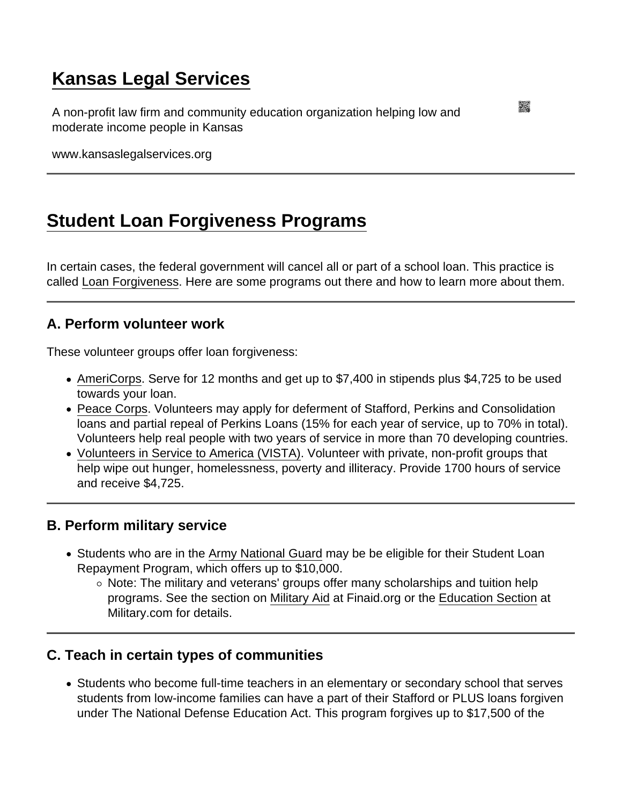# [Kansas Legal Services](https://www.kansaslegalservices.org/)

A non-profit law firm and community education organization helping low and moderate income people in Kansas

www.kansaslegalservices.org

## [Student Loan Forgiveness Programs](https://www.kansaslegalservices.org/node/156/student-loan-forgiveness-programs)

In certain cases, the federal government will cancel all or part of a school loan. This practice is called [Loan Forgiveness](http://www.fastweb.com/financial-aid/articles/3160-are-there-any-loan-forgiveness-programs-for-social-workers-teachers-and-other-public-service-job). Here are some programs out there and how to learn more about them.

### A. Perform volunteer work

These volunteer groups offer loan forgiveness:

- [AmeriCorps](http://www.americorps.gov/). Serve for 12 months and get up to \$7,400 in stipends plus \$4,725 to be used towards your loan.
- [Peace Corps](http://www.peacecorps.gov/). Volunteers may apply for deferment of Stafford, Perkins and Consolidation loans and partial repeal of Perkins Loans (15% for each year of service, up to 70% in total). Volunteers help real people with two years of service in more than 70 developing countries.
- [Volunteers in Service to America \(VISTA\)](https://americorps.gov/serve/fit-finder/americorps-vista). Volunteer with private, non-profit groups that help wipe out hunger, homelessness, poverty and illiteracy. Provide 1700 hours of service and receive \$4,725.

#### B. Perform military service

- Students who are in the [Army National Guard](https://www.nationalguard.com/tools/student-loan-repayment-program) may be be eligible for their Student Loan Repayment Program, which offers up to \$10,000.
	- $\circ$  Note: The military and veterans' groups offer many scholarships and tuition help programs. See the section on [Military Aid](http://www.finaid.org/military/) at Finaid.org or the [Education Section](http://www.military.com/education) at Military.com for details.

### C. Teach in certain types of communities

Students who become full-time teachers in an elementary or secondary school that serves students from low-income families can have a part of their Stafford or PLUS loans forgiven under The National Defense Education Act. This program forgives up to \$17,500 of the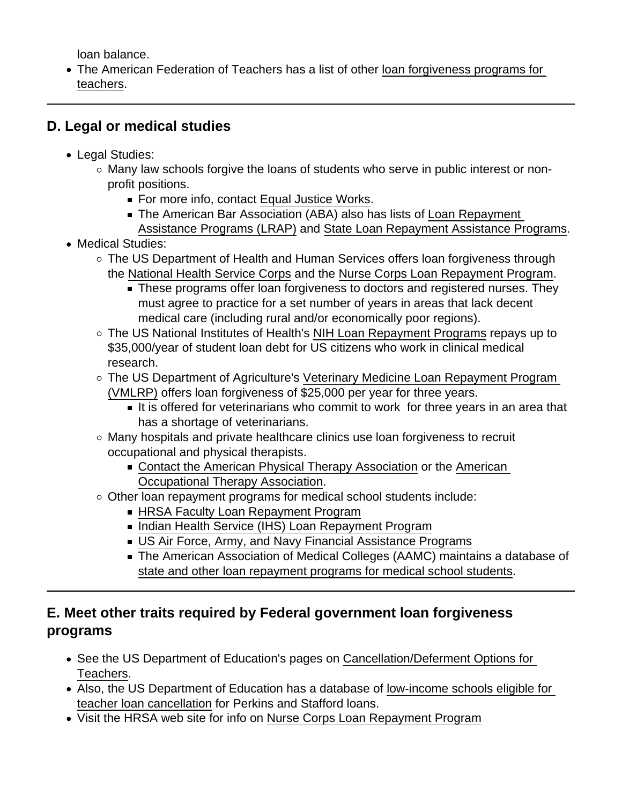loan balance.

- The American Federation of Teachers has a list of other [loan forgiveness programs for](http://www.aft.org/yourwork/tools4teachers/fundingdatabase/)  [teachers](http://www.aft.org/yourwork/tools4teachers/fundingdatabase/).
- D. Legal or medical studies
	- Legal Studies:
		- $\circ$  Many law schools forgive the loans of students who serve in public interest or nonprofit positions.
			- For more info, contact [Equal Justice Works.](http://www.equaljusticeworks.org/)
			- The American Bar Association (ABA) also has lists of Loan Repayment [Assistance Programs \(LRAP\)](https://www.americanbar.org/groups/legal_aid_indigent_defendants/loan_repayment_assistance_programs/resources/) and [State Loan Repayment Assistance Programs](https://www.americanbar.org/groups/legal_aid_indigent_defendants/loan_repayment_assistance_programs/state_loan_repayment_assistance_programs/).
	- Medical Studies:
		- The US Department of Health and Human Services offers loan forgiveness through the [National Health Service Corps](http://nhsc.hrsa.gov/) and the [Nurse Corps Loan Repayment Program.](https://bhw.hrsa.gov/loansscholarships/nursecorps/lrp)
			- **These programs offer loan forgiveness to doctors and registered nurses. They** must agree to practice for a set number of years in areas that lack decent medical care (including rural and/or economically poor regions).
		- The US National Institutes of Health's [NIH Loan Repayment Programs](http://www.lrp.nih.gov/) repays up to \$35,000/year of student loan debt for US citizens who work in clinical medical research.
		- The US Department of Agriculture's [Veterinary Medicine Loan Repayment Program](http://www.nifa.usda.gov/vmlrp)  [\(VMLRP\)](http://www.nifa.usda.gov/vmlrp) offers loan forgiveness of \$25,000 per year for three years.
			- It is offered for veterinarians who commit to work for three years in an area that has a shortage of veterinarians.
		- Many hospitals and private healthcare clinics use loan forgiveness to recruit occupational and physical therapists.
			- [Contact the American Physical Therapy Association](http://www.apta.org/) or the [American](http://www.aota.org/)  [Occupational Therapy Association](http://www.aota.org/).
		- Other loan repayment programs for medical school students include:
			- **[HRSA Faculty Loan Repayment Program](https://bhw.hrsa.gov/loansscholarships/flrp)**
			- **[Indian Health Service \(IHS\) Loan Repayment Program](http://www.ihs.gov/)**
			- [US Air Force, Army, and Navy Financial Assistance Programs](https://studentaid.ed.gov/sites/default/files/military-student-loan-benefits.pdf)
			- The American Association of Medical Colleges (AAMC) maintains a database of [state and other loan repayment programs for medical school students.](http://services.aamc.org/fed_loan_pub)
- E. Meet other traits required by Federal government loan forgiveness programs
	- See the US Department of Education's pages on Cancellation/Deferment Options for [Teachers](https://studentaid.ed.gov/sa/repay-loans/forgiveness-cancellation/teacher).
	- Also, the US Department of Education has a database of [low-income schools eligible for](https://studentaid.ed.gov/sa/repay-loans/forgiveness-cancellation/perkins#teacher-cancellation)  [teacher loan cancellation](https://studentaid.ed.gov/sa/repay-loans/forgiveness-cancellation/perkins#teacher-cancellation) for Perkins and Stafford loans.
	- Visit the HRSA web site for info on [Nurse Corps Loan Repayment Program](http://bhw.hrsa.gov/loansscholarships/nursecorps/lrp)